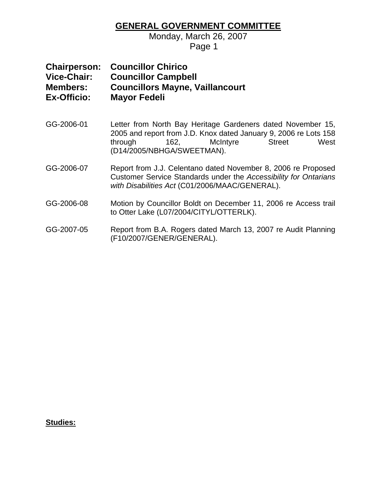### **GENERAL GOVERNMENT COMMITTEE**

Monday, March 26, 2007

**Page 1** Page 1

| <b>Chairperson:</b><br><b>Vice-Chair:</b><br><b>Members:</b><br><b>Ex-Officio:</b> | <b>Councillor Chirico</b><br><b>Councillor Campbell</b><br><b>Councillors Mayne, Vaillancourt</b><br><b>Mayor Fedeli</b>                                                                                              |
|------------------------------------------------------------------------------------|-----------------------------------------------------------------------------------------------------------------------------------------------------------------------------------------------------------------------|
| GG-2006-01                                                                         | Letter from North Bay Heritage Gardeners dated November 15,<br>2005 and report from J.D. Knox dated January 9, 2006 re Lots 158<br>162,<br>McIntyre<br><b>Street</b><br>West<br>through<br>(D14/2005/NBHGA/SWEETMAN). |
| GG-2006-07                                                                         | Report from J.J. Celentano dated November 8, 2006 re Proposed<br>Customer Service Standards under the Accessibility for Ontarians<br>with Disabilities Act (C01/2006/MAAC/GENERAL).                                   |
| GG-2006-08                                                                         | Motion by Councillor Boldt on December 11, 2006 re Access trail<br>to Otter Lake (L07/2004/CITYL/OTTERLK).                                                                                                            |
| GG-2007-05                                                                         | Report from B.A. Rogers dated March 13, 2007 re Audit Planning<br>(F10/2007/GENER/GENERAL).                                                                                                                           |

### **Studies:**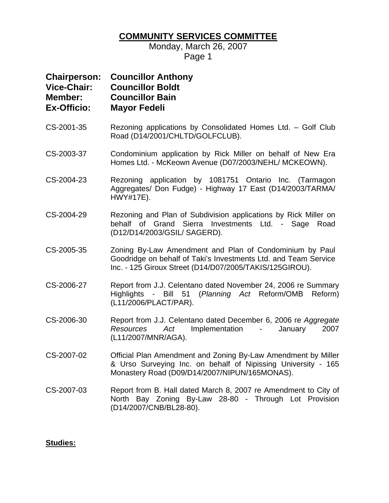# **COMMUNITY SERVICES COMMITTEE**

Monday, March 26, 2007 Page 1

| <b>Chairperson:</b><br><b>Vice-Chair:</b><br>Member:<br><b>Ex-Officio:</b> | <b>Councillor Anthony</b><br><b>Councillor Boldt</b><br><b>Councillor Bain</b><br><b>Mayor Fedeli</b>                                                                                         |
|----------------------------------------------------------------------------|-----------------------------------------------------------------------------------------------------------------------------------------------------------------------------------------------|
| CS-2001-35                                                                 | Rezoning applications by Consolidated Homes Ltd. - Golf Club<br>Road (D14/2001/CHLTD/GOLFCLUB).                                                                                               |
| CS-2003-37                                                                 | Condominium application by Rick Miller on behalf of New Era<br>Homes Ltd. - McKeown Avenue (D07/2003/NEHL/ MCKEOWN).                                                                          |
| CS-2004-23                                                                 | Rezoning application by 1081751 Ontario Inc. (Tarmagon<br>Aggregates/ Don Fudge) - Highway 17 East (D14/2003/TARMA/<br>HWY#17E).                                                              |
| CS-2004-29                                                                 | Rezoning and Plan of Subdivision applications by Rick Miller on<br>behalf of Grand Sierra Investments Ltd. - Sage<br>Road<br>(D12/D14/2003/GSIL/ SAGERD).                                     |
| CS-2005-35                                                                 | Zoning By-Law Amendment and Plan of Condominium by Paul<br>Goodridge on behalf of Taki's Investments Ltd. and Team Service<br>Inc. - 125 Giroux Street (D14/D07/2005/TAKIS/125GIROU).         |
| CS-2006-27                                                                 | Report from J.J. Celentano dated November 24, 2006 re Summary<br>Bill 51 (Planning Act Reform/OMB<br>Highlights -<br>Reform)<br>(L11/2006/PLACT/PAR).                                         |
| CS-2006-30                                                                 | Report from J.J. Celentano dated December 6, 2006 re Aggregate<br>Implementation<br>2007<br>Resources<br>Act<br>January<br>$\sigma_{\rm{max}}$ and $\sigma_{\rm{max}}$<br>(L11/2007/MNR/AGA). |
| CS-2007-02                                                                 | Official Plan Amendment and Zoning By-Law Amendment by Miller<br>& Urso Surveying Inc. on behalf of Nipissing University - 165<br>Monastery Road (D09/D14/2007/NIPUN/165MONAS).               |
| CS-2007-03                                                                 | Report from B. Hall dated March 8, 2007 re Amendment to City of<br>North Bay Zoning By-Law 28-80 - Through Lot Provision                                                                      |

(D14/2007/CNB/BL28-80).

### **Studies:**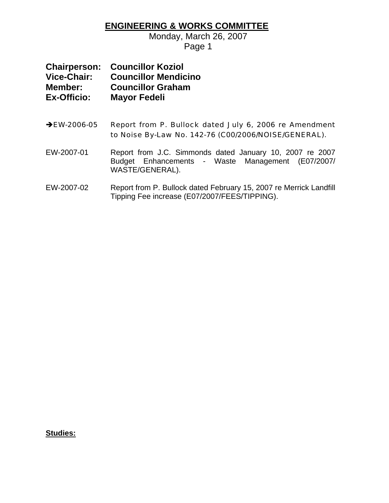### **ENGINEERING & WORKS COMMITTEE**

Monday, March 26, 2007 Page 1

|                    | <b>Chairperson: Councillor Koziol</b> |
|--------------------|---------------------------------------|
| <b>Vice-Chair:</b> | <b>Councillor Mendicino</b>           |
| Member:            | <b>Councillor Graham</b>              |
| <b>Ex-Officio:</b> | <b>Mayor Fedeli</b>                   |

- → EW-2006-05 Report from P. Bullock dated July 6, 2006 re Amendment to Noise By-Law No. 142-76 (C00/2006/NOISE/GENERAL).
- EW-2007-01 Report from J.C. Simmonds dated January 10, 2007 re 2007 Budget Enhancements - Waste Management (E07/2007/ WASTE/GENERAL).
- EW-2007-02 Report from P. Bullock dated February 15, 2007 re Merrick Landfill Tipping Fee increase (E07/2007/FEES/TIPPING).

**Studies:**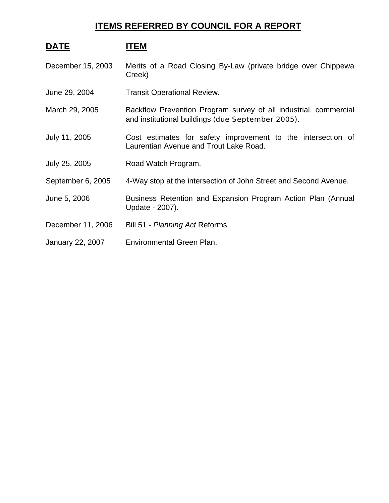## **ITEMS REFERRED BY COUNCIL FOR A REPORT**

## DATE **ITEM**

December 15, 2003 Merits of a Road Closing By-Law (private bridge over Chippewa Creek)

- June 29, 2004 Transit Operational Review.
- March 29, 2005 Backflow Prevention Program survey of all industrial, commercial and institutional buildings (due September 2005).
- July 11, 2005 Cost estimates for safety improvement to the intersection of Laurentian Avenue and Trout Lake Road.
- July 25, 2005 Road Watch Program.
- September 6, 2005 4-Way stop at the intersection of John Street and Second Avenue.
- June 5, 2006 Business Retention and Expansion Program Action Plan (Annual Update - 2007).
- December 11, 2006 Bill 51 *Planning Act* Reforms.
- January 22, 2007 Environmental Green Plan.